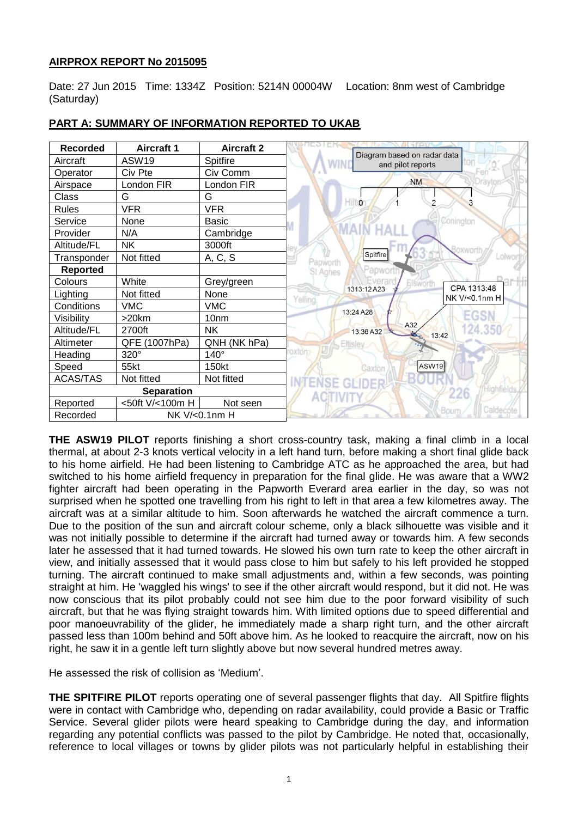# **AIRPROX REPORT No 2015095**

Date: 27 Jun 2015 Time: 1334Z Position: 5214N 00004W Location: 8nm west of Cambridge (Saturday)

| <b>Recorded</b>           | <b>Aircraft 1</b> | <b>Aircraft 2</b> |                                                         |
|---------------------------|-------------------|-------------------|---------------------------------------------------------|
| Aircraft                  | ASW19             | Spitfire          | Diagram based on radar data<br>ton<br>and pilot reports |
| Operator                  | Civ Pte           | Civ Comm          |                                                         |
| Airspace                  | London FIR        | London FIR        | <b>NM</b>                                               |
| Class                     | G                 | G                 | $\overline{\phantom{a}}$<br>2                           |
| <b>Rules</b>              | <b>VFR</b>        | <b>VFR</b>        |                                                         |
| Service                   | None              | <b>Basic</b>      | Conington                                               |
| Provider                  | N/A               | Cambridge         |                                                         |
| Altitude/FL               | <b>NK</b>         | 3000ft            | <b>SOXWOrth</b>                                         |
| Transponder               | Not fitted        | A, C, S           | Spitfire<br>.olw<br>Papworth                            |
| <b>Reported</b>           |                   |                   | Papwort<br>St Agnes                                     |
| Colours                   | White             | Grey/green        | Everar<br><b>Elsworth</b><br>CPA 1313:48<br>1313:12A23  |
| Lighting                  | Not fitted        | None              | NK V/<0.1nm H<br>Yelling                                |
| Conditions                | <b>VMC</b>        | <b>VMC</b>        | 13:24 A28                                               |
| Visibility                | $>20$ km          | 10 <sub>nm</sub>  | EGSI                                                    |
| Altitude/FL               | 2700ft            | <b>NK</b>         | A32<br>13:36 A32<br>13:42                               |
| Altimeter                 | QFE (1007hPa)     | QNH (NK hPa)      | Eltisley                                                |
| Heading                   | 320°              | $140^\circ$       | oxton                                                   |
| Speed                     | 55kt              | 150kt             | <b>ASW19</b><br>Caxton                                  |
| <b>ACAS/TAS</b>           | Not fitted        | Not fitted        | <b>GLIDER</b>                                           |
| <b>Separation</b>         |                   |                   |                                                         |
| Reported                  | <50ft V/<100m H   | Not seen          |                                                         |
| NK V/<0.1nm H<br>Recorded |                   |                   | Bourn<br>Caldecote                                      |

# **PART A: SUMMARY OF INFORMATION REPORTED TO UKAB**

**THE ASW19 PILOT** reports finishing a short cross-country task, making a final climb in a local thermal, at about 2-3 knots vertical velocity in a left hand turn, before making a short final glide back to his home airfield. He had been listening to Cambridge ATC as he approached the area, but had switched to his home airfield frequency in preparation for the final glide. He was aware that a WW2 fighter aircraft had been operating in the Papworth Everard area earlier in the day, so was not surprised when he spotted one travelling from his right to left in that area a few kilometres away. The aircraft was at a similar altitude to him. Soon afterwards he watched the aircraft commence a turn. Due to the position of the sun and aircraft colour scheme, only a black silhouette was visible and it was not initially possible to determine if the aircraft had turned away or towards him. A few seconds later he assessed that it had turned towards. He slowed his own turn rate to keep the other aircraft in view, and initially assessed that it would pass close to him but safely to his left provided he stopped turning. The aircraft continued to make small adjustments and, within a few seconds, was pointing straight at him. He 'waggled his wings' to see if the other aircraft would respond, but it did not. He was now conscious that its pilot probably could not see him due to the poor forward visibility of such aircraft, but that he was flying straight towards him. With limited options due to speed differential and poor manoeuvrability of the glider, he immediately made a sharp right turn, and the other aircraft passed less than 100m behind and 50ft above him. As he looked to reacquire the aircraft, now on his right, he saw it in a gentle left turn slightly above but now several hundred metres away.

He assessed the risk of collision as 'Medium'.

**THE SPITFIRE PILOT** reports operating one of several passenger flights that day. All Spitfire flights were in contact with Cambridge who, depending on radar availability, could provide a Basic or Traffic Service. Several glider pilots were heard speaking to Cambridge during the day, and information regarding any potential conflicts was passed to the pilot by Cambridge. He noted that, occasionally, reference to local villages or towns by glider pilots was not particularly helpful in establishing their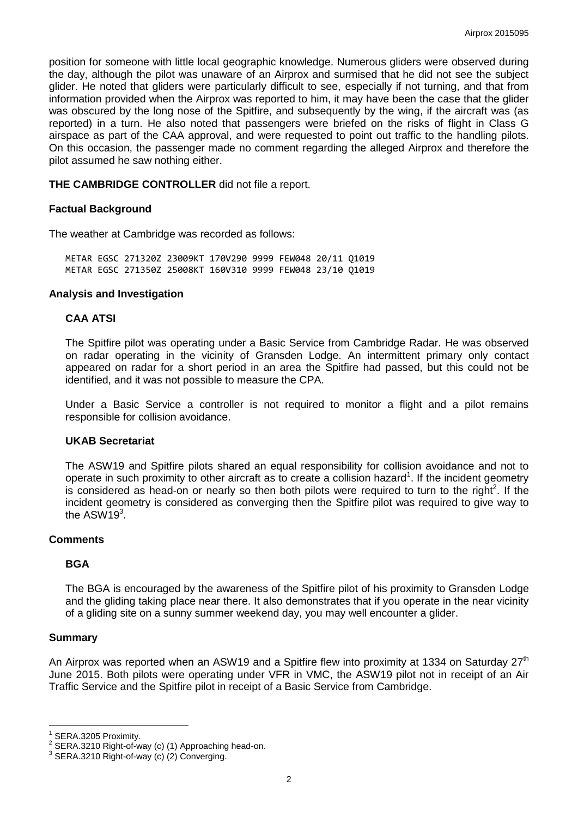position for someone with little local geographic knowledge. Numerous gliders were observed during the day, although the pilot was unaware of an Airprox and surmised that he did not see the subject glider. He noted that gliders were particularly difficult to see, especially if not turning, and that from information provided when the Airprox was reported to him, it may have been the case that the glider was obscured by the long nose of the Spitfire, and subsequently by the wing, if the aircraft was (as reported) in a turn. He also noted that passengers were briefed on the risks of flight in Class G airspace as part of the CAA approval, and were requested to point out traffic to the handling pilots. On this occasion, the passenger made no comment regarding the alleged Airprox and therefore the pilot assumed he saw nothing either.

**THE CAMBRIDGE CONTROLLER** did not file a report.

### **Factual Background**

The weather at Cambridge was recorded as follows:

METAR EGSC 271320Z 23009KT 170V290 9999 FEW048 20/11 Q1019 METAR EGSC 271350Z 25008KT 160V310 9999 FEW048 23/10 Q1019

#### **Analysis and Investigation**

### **CAA ATSI**

The Spitfire pilot was operating under a Basic Service from Cambridge Radar. He was observed on radar operating in the vicinity of Gransden Lodge. An intermittent primary only contact appeared on radar for a short period in an area the Spitfire had passed, but this could not be identified, and it was not possible to measure the CPA.

Under a Basic Service a controller is not required to monitor a flight and a pilot remains responsible for collision avoidance.

#### **UKAB Secretariat**

The ASW19 and Spitfire pilots shared an equal responsibility for collision avoidance and not to operate in such proximity to other aircraft as to create a collision hazard<sup>1</sup>. If the incident geometry is considered as head-on or nearly so then both pilots were required to turn to the right<sup>2</sup>. If the incident geometry is considered as converging then the Spitfire pilot was required to give way to the  $ASW19<sup>3</sup>$ .

#### **Comments**

## **BGA**

The BGA is encouraged by the awareness of the Spitfire pilot of his proximity to Gransden Lodge and the gliding taking place near there. It also demonstrates that if you operate in the near vicinity of a gliding site on a sunny summer weekend day, you may well encounter a glider.

#### **Summary**

 $\overline{a}$ 

An Airprox was reported when an ASW19 and a Spitfire flew into proximity at 1334 on Saturday  $27<sup>th</sup>$ June 2015. Both pilots were operating under VFR in VMC, the ASW19 pilot not in receipt of an Air Traffic Service and the Spitfire pilot in receipt of a Basic Service from Cambridge.

<sup>1</sup> SERA.3205 Proximity.

<sup>&</sup>lt;sup>2</sup> SERA.3210 Right-of-way (c) (1) Approaching head-on.<br><sup>3</sup> SERA.3210 Bight of way (a) (3) Converging

SERA.3210 Right-of-way (c) (2) Converging.